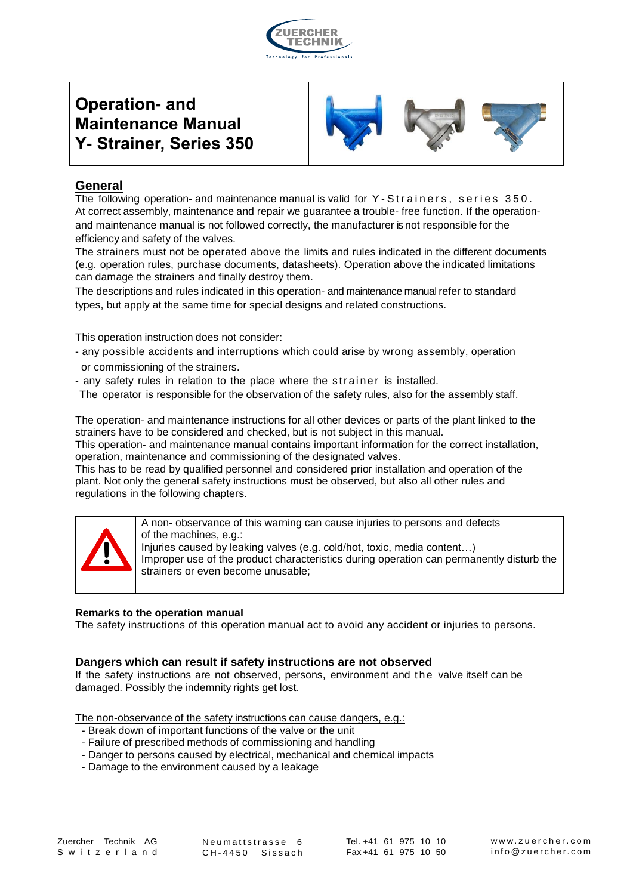

# **Operation- and Maintenance Manual Y- Strainer, Series 350**



# **General**

The following operation- and maintenance manual is valid for  $Y - S$ trainers, series  $350$ . At correct assembly, maintenance and repair we guarantee a trouble- free function. If the operationand maintenance manual is not followed correctly, the manufacturer is not responsible for the efficiency and safety of the valves.

The strainers must not be operated above the limits and rules indicated in the different documents (e.g. operation rules, purchase documents, datasheets). Operation above the indicated limitations can damage the strainers and finally destroy them.

The descriptions and rules indicated in this operation- and maintenance manual refer to standard types, but apply at the same time for special designs and related constructions.

This operation instruction does not consider:

- any possible accidents and interruptions which could arise by wrong assembly, operation or commissioning of the strainers.
- any safety rules in relation to the place where the strainer is installed.

The operator is responsible for the observation of the safety rules, also for the assembly staff.

The operation- and maintenance instructions for all other devices or parts of the plant linked to the strainers have to be considered and checked, but is not subject in this manual.

This operation- and maintenance manual contains important information for the correct installation, operation, maintenance and commissioning of the designated valves.

This has to be read by qualified personnel and considered prior installation and operation of the plant. Not only the general safety instructions must be observed, but also all other rules and regulations in the following chapters.



A non- observance of this warning can cause injuries to persons and defects of the machines, e.g.: Injuries caused by leaking valves (e.g. cold/hot, toxic, media content…) Improper use of the product characteristics during operation can permanently disturb the strainers or even become unusable;

#### **Remarks to the operation manual**

The safety instructions of this operation manual act to avoid any accident or injuries to persons.

#### **Dangers which can result if safety instructions are not observed**

If the safety instructions are not observed, persons, environment and t he valve itself can be damaged. Possibly the indemnity rights get lost.

The non-observance of the safety instructions can cause dangers, e.g.:

- Break down of important functions of the valve or the unit
- Failure of prescribed methods of commissioning and handling
- Danger to persons caused by electrical, mechanical and chemical impacts
- Damage to the environment caused by a leakage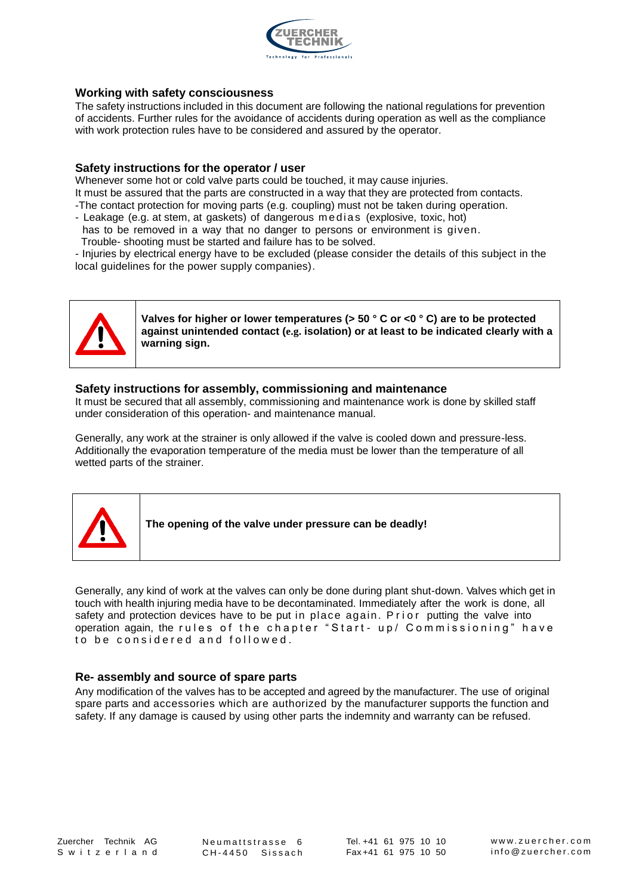

#### **Working with safety consciousness**

The safety instructions included in this document are following the national regulations for prevention of accidents. Further rules for the avoidance of accidents during operation as well as the compliance with work protection rules have to be considered and assured by the operator.

#### **Safety instructions for the operator / user**

Whenever some hot or cold valve parts could be touched, it may cause injuries.

It must be assured that the parts are constructed in a way that they are protected from contacts.

- -The contact protection for moving parts (e.g. coupling) must not be taken during operation.
- Leakage (e.g. at stem, at gaskets) of dangerous medias (explosive, toxic, hot)
- has to be removed in a way that no danger to persons or environment is given. Trouble- shooting must be started and failure has to be solved.

- Injuries by electrical energy have to be excluded (please consider the details of this subject in the local guidelines for the power supply companies).



**Valves for higher or lower temperatures (> 50 ° C or <0 ° C) are to be protected against unintended contact (e.g. isolation) or at least to be indicated clearly with a warning sign.**

#### **Safety instructions for assembly, commissioning and maintenance**

It must be secured that all assembly, commissioning and maintenance work is done by skilled staff under consideration of this operation- and maintenance manual.

Generally, any work at the strainer is only allowed if the valve is cooled down and pressure-less. Additionally the evaporation temperature of the media must be lower than the temperature of all wetted parts of the strainer.



**The opening of the valve under pressure can be deadly!**

Generally, any kind of work at the valves can only be done during plant shut-down. Valves which get in touch with health injuring media have to be decontaminated. Immediately after the work is done, all safety and protection devices have to be put in place again. Prior putting the valve into operation again, the rules of the chapter "Start- up/ Commissioning" have to be considered and followed.

#### **Re- assembly and source of spare parts**

Any modification of the valves has to be accepted and agreed by the manufacturer. The use of original spare parts and accessories which are authorized by the manufacturer supports the function and safety. If any damage is caused by using other parts the indemnity and warranty can be refused.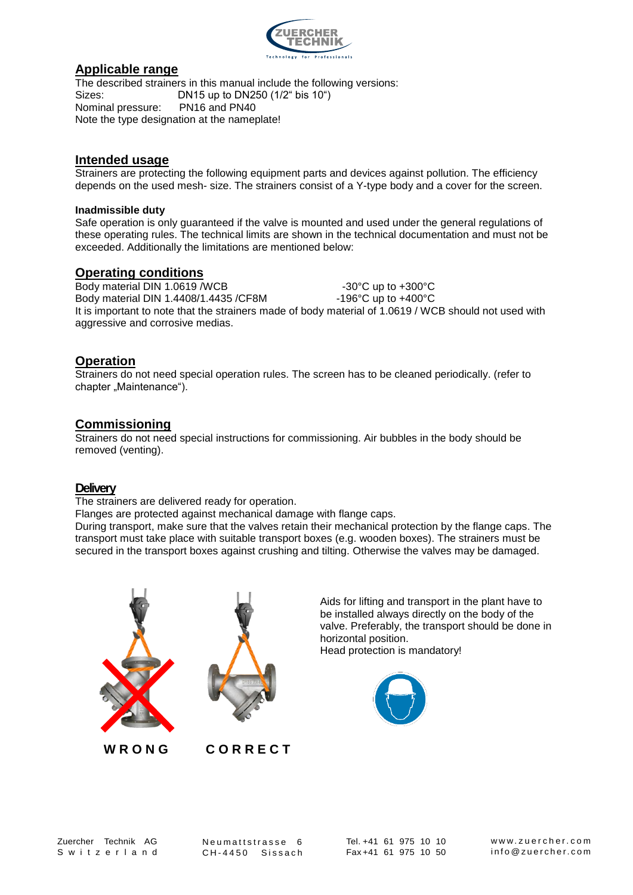

## **Applicable range**

The described strainers in this manual include the following versions: Sizes: DN15 up to DN250 (1/2" bis 10") Nominal pressure: PN16 and PN40 Note the type designation at the nameplate!

### **Intended usage**

Strainers are protecting the following equipment parts and devices against pollution. The efficiency depends on the used mesh- size. The strainers consist of a Y-type body and a cover for the screen.

#### **Inadmissible duty**

Safe operation is only guaranteed if the valve is mounted and used under the general regulations of these operating rules. The technical limits are shown in the technical documentation and must not be exceeded. Additionally the limitations are mentioned below:

#### **Operating conditions**

 $B$ ody material DIN 1.0619 /WCB  $-30^{\circ}$ C up to  $+300^{\circ}$ C Body material DIN 1.4408/1.4435 /CF8M -196°C up to +400°C It is important to note that the strainers made of body material of 1.0619 / WCB should not used with aggressive and corrosive medias.

## **Operation**

Strainers do not need special operation rules. The screen has to be cleaned periodically. (refer to chapter "Maintenance").

## **Commissioning**

Strainers do not need special instructions for commissioning. Air bubbles in the body should be removed (venting).

#### **Delivery**

The strainers are delivered ready for operation.

Flanges are protected against mechanical damage with flange caps.

During transport, make sure that the valves retain their mechanical protection by the flange caps. The transport must take place with suitable transport boxes (e.g. wooden boxes). The strainers must be secured in the transport boxes against crushing and tilting. Otherwise the valves may be damaged.





 **W R O N G C O R R E C T**

Aids for lifting and transport in the plant have to be installed always directly on the body of the valve. Preferably, the transport should be done in horizontal position. Head protection is mandatory!



Neumattstrasse 6<br>CH-4450 Sissach Neumattstrasse 6<br>CH-4450 Sissach

Tel. +41 61 975 10 10 Tel. +41 61 975 10 10<br>Fax +41 61 975 10 50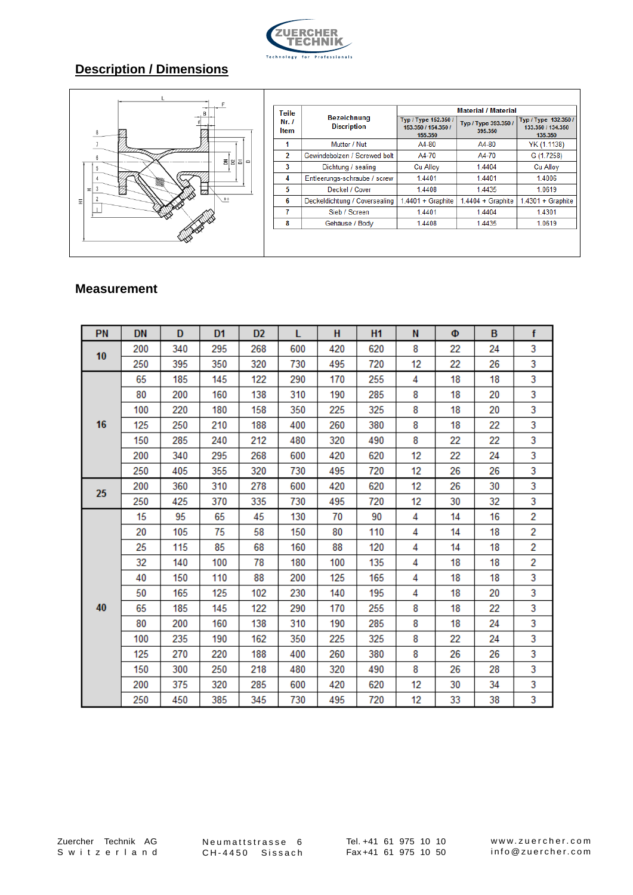

# **Description / Dimensions**



#### **Measurement**

| PN | <b>DN</b> | D   | D1  | D <sub>2</sub> | L   | H   | <b>H1</b> | N  | Ф  | B. | $\mathbf{f}$ |
|----|-----------|-----|-----|----------------|-----|-----|-----------|----|----|----|--------------|
| 10 | 200       | 340 | 295 | 268            | 600 | 420 | 620       | 8  | 22 | 24 | 3            |
|    | 250       | 395 | 350 | 320            | 730 | 495 | 720       | 12 | 22 | 26 | 3            |
| 16 | 65        | 185 | 145 | 122            | 290 | 170 | 255       | 4  | 18 | 18 | 3            |
|    | 80        | 200 | 160 | 138            | 310 | 190 | 285       | 8  | 18 | 20 | 3            |
|    | 100       | 220 | 180 | 158            | 350 | 225 | 325       | 8  | 18 | 20 | 3            |
|    | 125       | 250 | 210 | 188            | 400 | 260 | 380       | 8  | 18 | 22 | 3            |
|    | 150       | 285 | 240 | 212            | 480 | 320 | 490       | 8  | 22 | 22 | 3            |
|    | 200       | 340 | 295 | 268            | 600 | 420 | 620       | 12 | 22 | 24 | 3            |
|    | 250       | 405 | 355 | 320            | 730 | 495 | 720       | 12 | 26 | 26 | 3            |
| 25 | 200       | 360 | 310 | 278            | 600 | 420 | 620       | 12 | 26 | 30 | 3            |
|    | 250       | 425 | 370 | 335            | 730 | 495 | 720       | 12 | 30 | 32 | 3            |
| 40 | 15        | 95  | 65  | 45             | 130 | 70  | 90        | 4  | 14 | 16 | 2            |
|    | 20        | 105 | 75  | 58             | 150 | 80  | 110       | 4  | 14 | 18 | 2            |
|    | 25        | 115 | 85  | 68             | 160 | 88  | 120       | 4  | 14 | 18 | 2            |
|    | 32        | 140 | 100 | 78             | 180 | 100 | 135       | 4  | 18 | 18 | 2            |
|    | 40        | 150 | 110 | 88             | 200 | 125 | 165       | 4  | 18 | 18 | 3            |
|    | 50        | 165 | 125 | 102            | 230 | 140 | 195       | 4  | 18 | 20 | 3            |
|    | 65        | 185 | 145 | 122            | 290 | 170 | 255       | 8  | 18 | 22 | 3            |
|    | 80        | 200 | 160 | 138            | 310 | 190 | 285       | 8  | 18 | 24 | 3            |
|    | 100       | 235 | 190 | 162            | 350 | 225 | 325       | 8  | 22 | 24 | 3            |
|    | 125       | 270 | 220 | 188            | 400 | 260 | 380       | 8  | 26 | 26 | 3            |
|    | 150       | 300 | 250 | 218            | 480 | 320 | 490       | 8  | 26 | 28 | 3            |
|    | 200       | 375 | 320 | 285            | 600 | 420 | 620       | 12 | 30 | 34 | 3            |
|    | 250       | 450 | 385 | 345            | 730 | 495 | 720       | 12 | 33 | 38 | 3            |

Zuercher Technik AG<br>Switzerland Zuercher Technik AG<br>S w i t z e r l a n d

Neumattstrasse 6<br>CH-4450 Sissach Neumattstrasse 6<br>CH-4450 Sissach

Tel. +41 61 975 10 10 Fax +41 61 975 10 50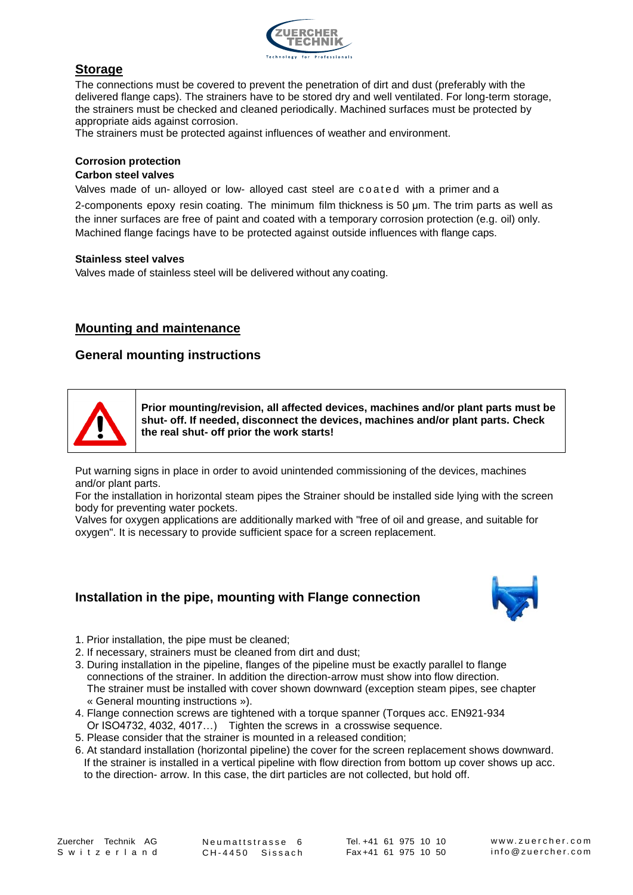

# **Storage**

The connections must be covered to prevent the penetration of dirt and dust (preferably with the delivered flange caps). The strainers have to be stored dry and well ventilated. For long-term storage, the strainers must be checked and cleaned periodically. Machined surfaces must be protected by appropriate aids against corrosion.

The strainers must be protected against influences of weather and environment.

#### **Corrosion protection**

#### **Carbon steel valves**

Valves made of un- alloyed or low- alloyed cast steel are coated with a primer and a 2-components epoxy resin coating. The minimum film thickness is 50 μm. The trim parts as well as the inner surfaces are free of paint and coated with a temporary corrosion protection (e.g. oil) only. Machined flange facings have to be protected against outside influences with flange caps.

#### **Stainless steel valves**

Valves made of stainless steel will be delivered without any coating.

#### **Mounting and maintenance**

#### **General mounting instructions**



**Prior mounting/revision, all affected devices, machines and/or plant parts must be shut- off. If needed, disconnect the devices, machines and/or plant parts. Check the real shut- off prior the work starts!**

Put warning signs in place in order to avoid unintended commissioning of the devices, machines and/or plant parts.

For the installation in horizontal steam pipes the Strainer should be installed side lying with the screen body for preventing water pockets.

Valves for oxygen applications are additionally marked with "free of oil and grease, and suitable for oxygen". It is necessary to provide sufficient space for a screen replacement.

#### **Installation in the pipe, mounting with Flange connection**



- 1. Prior installation, the pipe must be cleaned;
- 2. If necessary, strainers must be cleaned from dirt and dust;
- 3. During installation in the pipeline, flanges of the pipeline must be exactly parallel to flange connections of the strainer. In addition the direction-arrow must show into flow direction. The strainer must be installed with cover shown downward (exception steam pipes, see chapter « General mounting instructions »).
- 4. Flange connection screws are tightened with a torque spanner (Torques acc. EN921-934 Or ISO4732, 4032, 4017…) Tighten the screws in a crosswise sequence.
- 5. Please consider that the strainer is mounted in a released condition;
- 6. At standard installation (horizontal pipeline) the cover for the screen replacement shows downward. If the strainer is installed in a vertical pipeline with flow direction from bottom up cover shows up acc. to the direction- arrow. In this case, the dirt particles are not collected, but hold off.

Zuercher Technik AG<br>Switzerland Zuercher Technik AG<br>S w i t z e r l a n d

Neumattstrasse 6<br>CH-4450 Sissach Neumattstrasse 6<br>CH-4450 Sissach

Tel. +41 61 975 10 10 Tel. +41 61 975 10 10<br>Fax +41 61 975 10 50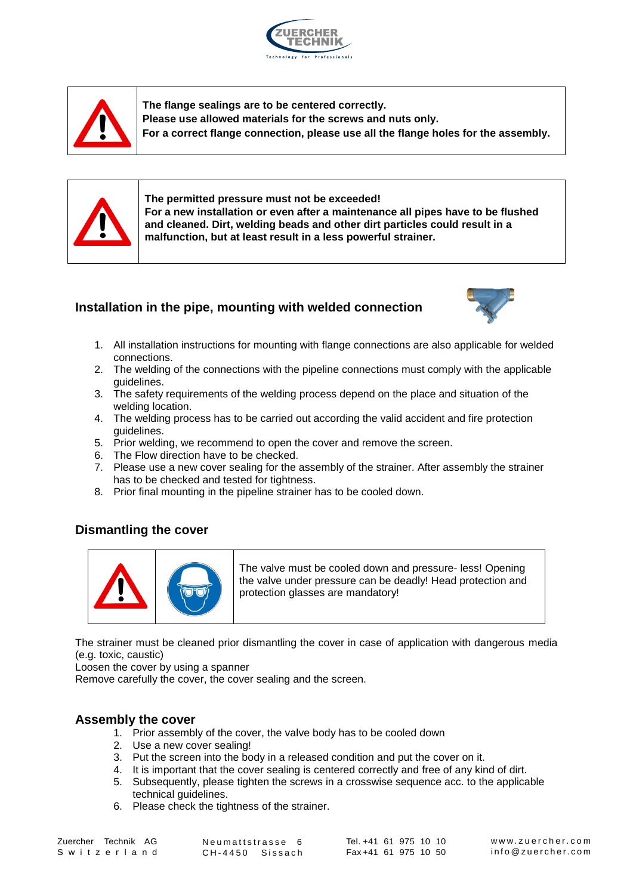



**The flange sealings are to be centered correctly. Please use allowed materials for the screws and nuts only. For a correct flange connection, please use all the flange holes for the assembly.**



**The permitted pressure must not be exceeded! For a new installation or even after a maintenance all pipes have to be flushed and cleaned. Dirt, welding beads and other dirt particles could result in a malfunction, but at least result in a less powerful strainer.**

# **Installation in the pipe, mounting with welded connection**



- 1. All installation instructions for mounting with flange connections are also applicable for welded connections.
- 2. The welding of the connections with the pipeline connections must comply with the applicable guidelines.
- 3. The safety requirements of the welding process depend on the place and situation of the welding location.
- 4. The welding process has to be carried out according the valid accident and fire protection guidelines.
- 5. Prior welding, we recommend to open the cover and remove the screen.
- 6. The Flow direction have to be checked.
- 7. Please use a new cover sealing for the assembly of the strainer. After assembly the strainer has to be checked and tested for tightness.
- 8. Prior final mounting in the pipeline strainer has to be cooled down.

# **Dismantling the cover**



The valve must be cooled down and pressure- less! Opening the valve under pressure can be deadly! Head protection and protection glasses are mandatory!

The strainer must be cleaned prior dismantling the cover in case of application with dangerous media (e.g. toxic, caustic)

Loosen the cover by using a spanner

Remove carefully the cover, the cover sealing and the screen.

# **Assembly the cover**

- 1. Prior assembly of the cover, the valve body has to be cooled down
- 2. Use a new cover sealing!
- 3. Put the screen into the body in a released condition and put the cover on it.
- 4. It is important that the cover sealing is centered correctly and free of any kind of dirt.
- 5. Subsequently, please tighten the screws in a crosswise sequence acc. to the applicable technical guidelines.
- 6. Please check the tightness of the strainer.<br>
chnik AG Neumattstrasse 6<br>
r I a n d CH-4450 Sissach

techn<br>6. Pleas<br>Zuercher Technik AG<br>5. witzerland S w i t z e r l a n d<br>Zuercher Technik AG<br>S w i t z e r l a n d

Fines.<br>he tightness of the str<br>Neumattstrasse 6<br>CH-4450 Sissach

Tel. +41 61 975 10 10 Tel. +41 61 975 10 10<br>Fax +41 61 975 10 50